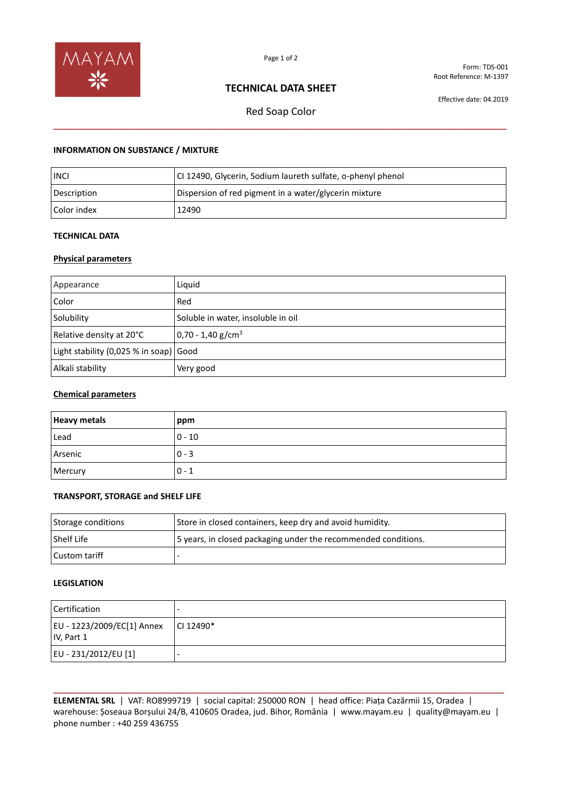

Form: TDS-001 Root Reference: M-1397

# **TECHNICAL DATA SHEET**

Effective date: 04.2019

# Red Soap Color **\_\_\_\_\_\_\_\_\_\_\_\_\_\_\_\_\_\_\_\_\_\_\_\_\_\_\_\_\_\_\_\_\_\_\_\_\_\_\_\_\_\_\_\_\_\_\_\_\_\_\_\_\_\_\_\_\_\_\_\_\_\_\_\_\_\_\_\_\_\_\_\_\_\_\_\_\_\_\_\_**

## **INFORMATION ON SUBSTANCE / MIXTURE**

| <b>INCI</b> | CI 12490, Glycerin, Sodium laureth sulfate, o-phenyl phenol |
|-------------|-------------------------------------------------------------|
| Description | Dispersion of red pigment in a water/glycerin mixture       |
| Color index | 12490                                                       |

### **TECHNICAL DATA**

#### **Physical parameters**

| Appearance                             | Liquid                             |
|----------------------------------------|------------------------------------|
| Color                                  | Red                                |
| Solubility                             | Soluble in water, insoluble in oil |
| Relative density at 20°C               | $0,70 - 1,40$ g/cm <sup>3</sup>    |
| Light stability (0,025 % in soap) Good |                                    |
| Alkali stability                       | Very good                          |

#### **Chemical parameters**

| <b>Heavy metals</b> | ppm      |
|---------------------|----------|
| Lead                | $0 - 10$ |
| Arsenic             | $0 - 3$  |
| Mercury             | $0 - 1$  |

#### **TRANSPORT, STORAGE and SHELF LIFE**

| Storage conditions | Store in closed containers, keep dry and avoid humidity.       |
|--------------------|----------------------------------------------------------------|
| l Shelf Life       | 5 years, in closed packaging under the recommended conditions. |
| l Custom tariff    |                                                                |

#### **LEGISLATION**

| Certification                            |             |
|------------------------------------------|-------------|
| EU - 1223/2009/EC[1] Annex<br>IV, Part 1 | $CI 12490*$ |
| EU - 231/2012/EU [1]                     |             |

**\_\_\_\_\_\_\_\_\_\_\_\_\_\_\_\_\_\_\_\_\_\_\_\_\_\_\_\_\_\_\_\_\_\_\_\_\_\_\_\_\_\_\_\_\_\_\_\_\_\_\_\_\_\_\_\_\_\_\_\_\_\_\_\_\_\_\_\_\_\_\_\_\_\_\_\_\_\_\_\_\_\_\_\_\_\_\_\_\_\_\_\_\_\_\_\_ ELEMENTAL SRL** | VAT: RO8999719 | social capital: 250000 RON | head office: Piața Cazărmii 15, Oradea | warehouse: Șoseaua Borșului 24/B, 410605 Oradea, jud. Bihor, România | www.mayam.eu | quality@mayam.eu | phone number : +40 259 436755